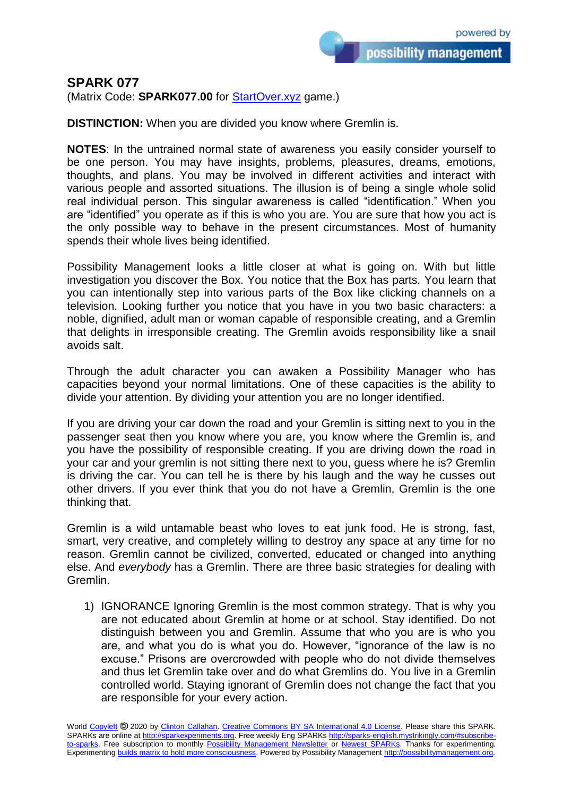## **SPARK 077**

(Matrix Code: **SPARK077.00** for **StartOver.xyz** game.)

**DISTINCTION:** When you are divided you know where Gremlin is.

**NOTES**: In the untrained normal state of awareness you easily consider yourself to be one person. You may have insights, problems, pleasures, dreams, emotions, thoughts, and plans. You may be involved in different activities and interact with various people and assorted situations. The illusion is of being a single whole solid real individual person. This singular awareness is called "identification." When you are "identified" you operate as if this is who you are. You are sure that how you act is the only possible way to behave in the present circumstances. Most of humanity spends their whole lives being identified.

Possibility Management looks a little closer at what is going on. With but little investigation you discover the Box. You notice that the Box has parts. You learn that you can intentionally step into various parts of the Box like clicking channels on a television. Looking further you notice that you have in you two basic characters: a noble, dignified, adult man or woman capable of responsible creating, and a Gremlin that delights in irresponsible creating. The Gremlin avoids responsibility like a snail avoids salt.

Through the adult character you can awaken a Possibility Manager who has capacities beyond your normal limitations. One of these capacities is the ability to divide your attention. By dividing your attention you are no longer identified.

If you are driving your car down the road and your Gremlin is sitting next to you in the passenger seat then you know where you are, you know where the Gremlin is, and you have the possibility of responsible creating. If you are driving down the road in your car and your gremlin is not sitting there next to you, guess where he is? Gremlin is driving the car. You can tell he is there by his laugh and the way he cusses out other drivers. If you ever think that you do not have a Gremlin, Gremlin is the one thinking that.

Gremlin is a wild untamable beast who loves to eat junk food. He is strong, fast, smart, very creative, and completely willing to destroy any space at any time for no reason. Gremlin cannot be civilized, converted, educated or changed into anything else. And *everybody* has a Gremlin. There are three basic strategies for dealing with Gremlin.

1) IGNORANCE Ignoring Gremlin is the most common strategy. That is why you are not educated about Gremlin at home or at school. Stay identified. Do not distinguish between you and Gremlin. Assume that who you are is who you are, and what you do is what you do. However, "ignorance of the law is no excuse." Prisons are overcrowded with people who do not divide themselves and thus let Gremlin take over and do what Gremlins do. You live in a Gremlin controlled world. Staying ignorant of Gremlin does not change the fact that you are responsible for your every action.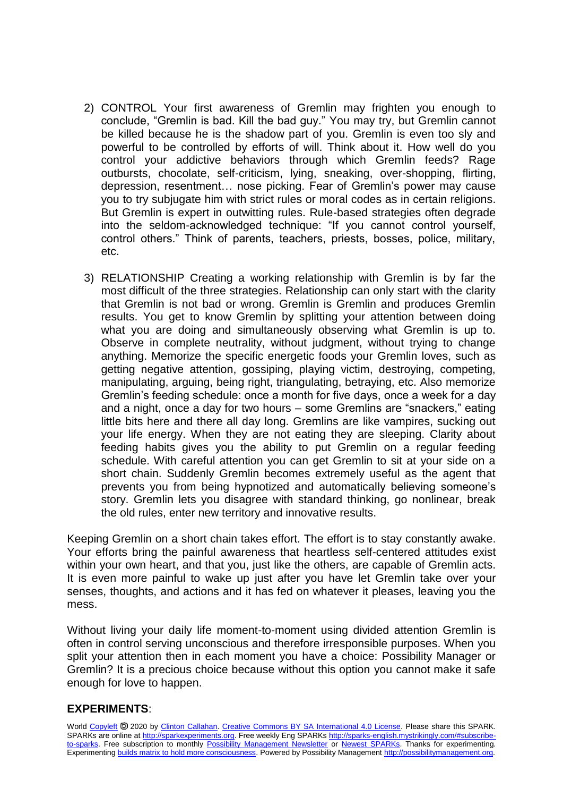- 2) CONTROL Your first awareness of Gremlin may frighten you enough to conclude, "Gremlin is bad. Kill the bad guy." You may try, but Gremlin cannot be killed because he is the shadow part of you. Gremlin is even too sly and powerful to be controlled by efforts of will. Think about it. How well do you control your addictive behaviors through which Gremlin feeds? Rage outbursts, chocolate, self-criticism, lying, sneaking, over-shopping, flirting, depression, resentment… nose picking. Fear of Gremlin's power may cause you to try subjugate him with strict rules or moral codes as in certain religions. But Gremlin is expert in outwitting rules. Rule-based strategies often degrade into the seldom-acknowledged technique: "If you cannot control yourself, control others." Think of parents, teachers, priests, bosses, police, military, etc.
- 3) RELATIONSHIP Creating a working relationship with Gremlin is by far the most difficult of the three strategies. Relationship can only start with the clarity that Gremlin is not bad or wrong. Gremlin is Gremlin and produces Gremlin results. You get to know Gremlin by splitting your attention between doing what you are doing and simultaneously observing what Gremlin is up to. Observe in complete neutrality, without judgment, without trying to change anything. Memorize the specific energetic foods your Gremlin loves, such as getting negative attention, gossiping, playing victim, destroying, competing, manipulating, arguing, being right, triangulating, betraying, etc. Also memorize Gremlin's feeding schedule: once a month for five days, once a week for a day and a night, once a day for two hours – some Gremlins are "snackers," eating little bits here and there all day long. Gremlins are like vampires, sucking out your life energy. When they are not eating they are sleeping. Clarity about feeding habits gives you the ability to put Gremlin on a regular feeding schedule. With careful attention you can get Gremlin to sit at your side on a short chain. Suddenly Gremlin becomes extremely useful as the agent that prevents you from being hypnotized and automatically believing someone's story. Gremlin lets you disagree with standard thinking, go nonlinear, break the old rules, enter new territory and innovative results.

Keeping Gremlin on a short chain takes effort. The effort is to stay constantly awake. Your efforts bring the painful awareness that heartless self-centered attitudes exist within your own heart, and that you, just like the others, are capable of Gremlin acts. It is even more painful to wake up just after you have let Gremlin take over your senses, thoughts, and actions and it has fed on whatever it pleases, leaving you the mess.

Without living your daily life moment-to-moment using divided attention Gremlin is often in control serving unconscious and therefore irresponsible purposes. When you split your attention then in each moment you have a choice: Possibility Manager or Gremlin? It is a precious choice because without this option you cannot make it safe enough for love to happen.

## **EXPERIMENTS**: